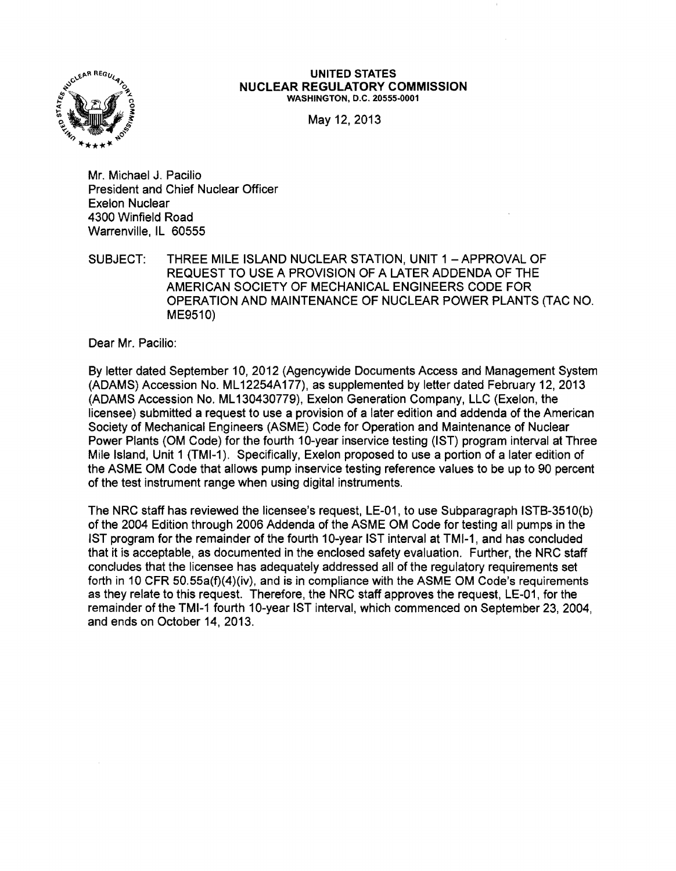

#### UNITED STATES NUCLEAR REGULATORY COMMISSION WASHINGTON, D.C. 20555-0001

May 12, 2013

Mr. Michael J. Pacilio President and Chief Nuclear Officer Exelon Nuclear 4300 Winfield Road Warrenville, IL 60555

SUBJECT: THREE MILE ISLAND NUCLEAR STATION, UNIT 1 - APPROVAL OF REQUEST TO USE A PROVISION OF A LATER ADDENDA OF THE AMERICAN SOCIETY OF MECHANICAL ENGINEERS CODE FOR OPERATION AND MAINTENANCE OF NUCLEAR POWER PLANTS (TAC NO. ME9510)

Dear Mr. Pacilio:

By letter dated September 10, 2012 (Agencywide Documents Access and Management System (ADAMS) Accession No. ML 12254A177), as supplemented by letter dated February 12,2013 (ADAMS Accession No. ML 130430779), Exelon Generation Company, LLC (Exelon, the licensee) submitted a request to use a provision of a later edition and addenda of the American Society of Mechanical Engineers (ASME) Code for Operation and Maintenance of Nuclear Power Plants (OM Code) for the fourth 10-year inservice testing (1ST) program interval at Three Mile Island, Unit 1 (TMI-1). Specifically, Exelon proposed to use a portion of a later edition of the ASME OM Code that allows pump inservice testing reference values to be up to 90 percent of the test instrument range when using digital instruments.

The NRC staff has reviewed the licensee's request, LE-01, to use Subparagraph ISTB-3510(b) of the 2004 Edition through 2006 Addenda of the ASME OM Code for testing all pumps in the 1ST program for the remainder of the fourth 10-year 1ST interval at TMI-1, and has concluded that it is acceptable, as documented in the enclosed safety evaluation. Further, the NRC staff concludes that the licensee has adequately addressed all of the regulatory requirements set forth in 10 CFR 50.55a(f)(4)(iv), and is in compliance with the ASME OM Code's requirements as they relate to this request. Therefore, the NRC staff approves the request, LE-01, for the remainder of the TMI-1 fourth 10-year 1ST interval, which commenced on September 23,2004, and ends on October 14,2013.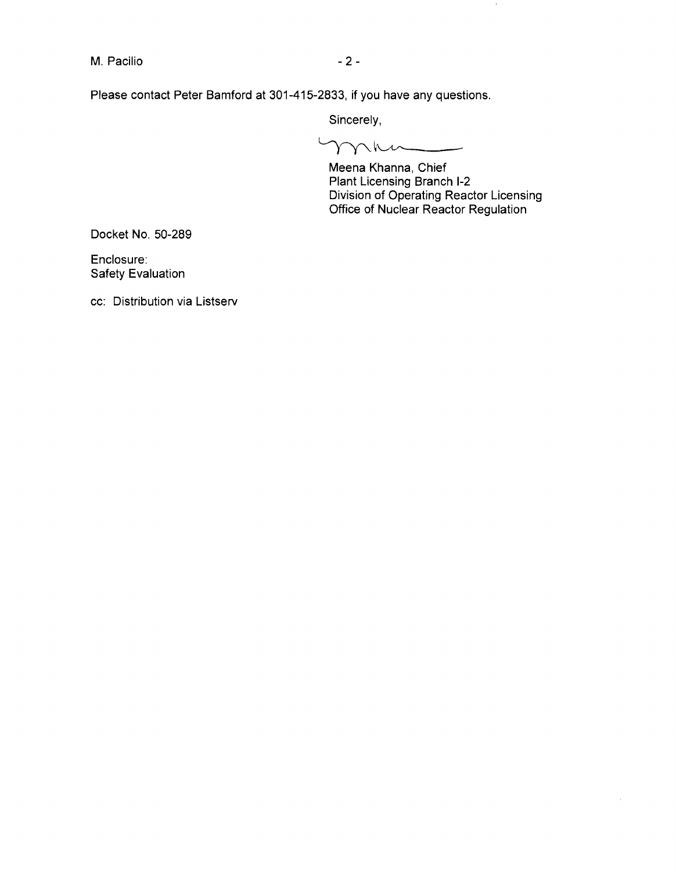M. Pacilio  $-2-$ 

Please contact Peter Bamford at 301-415-2833, if you have any questions.

Sincerely,

 $\gamma\gamma\hbar\mu$ 

Meena Khanna, Chief Plant Licensing Branch 1-2 Division of Operating Reactor Licensing Office of Nuclear Reactor Regulation

 $\langle 0 \rangle$ 

Docket No. 50-289

Enclosure: Safety Evaluation

cc: Distribution via Listserv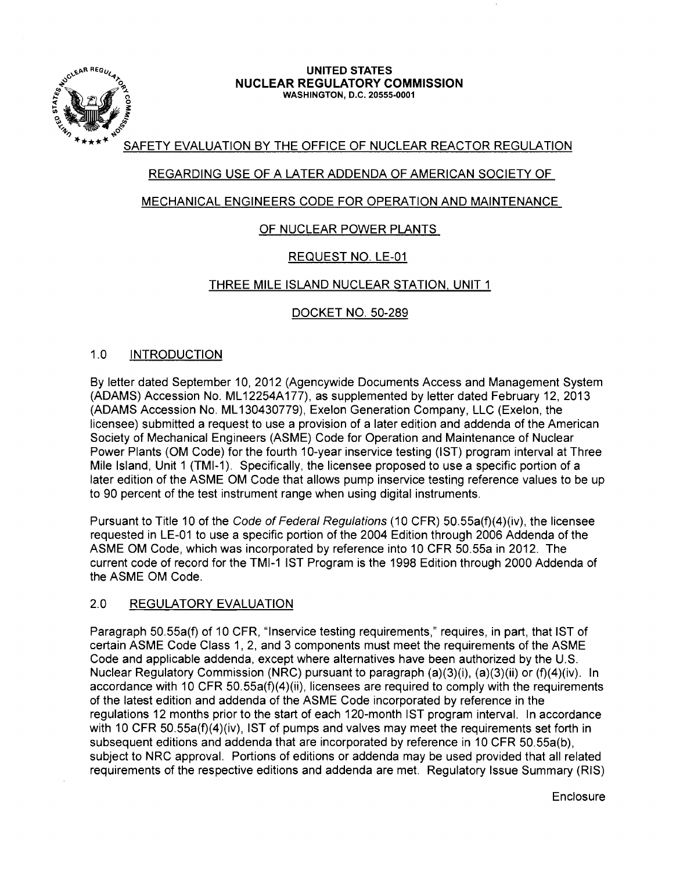

#### \,.~p.R REGu~ **UNITED STATES**  *"0.,.* **NUCLEAR REGULATORY COMMISSION** ~ WASHINGTON, D.C. 20555-0001

# SAFETY EVALUATION BY THE OFFICE OF NUCLEAR REACTOR REGULATION

# REGARDING USE OF A LATER ADDENDA OF AMERICAN SOCIETY OF

### MECHANICAL ENGINEERS CODE FOR OPERATION AND MAINTENANCE

# OF NUCLEAR POWER PLANTS

# REQUEST NO. LE-01

### THREE MILE ISLAND NUCLEAR STATION, UNIT 1

### DOCKET NO. 50-289

### 1.0 INTRODUCTION

By letter dated September 10, 2012 (Agencywide Documents Access and Management System (ADAMS) Accession No. ML12254A177), as supplemented by letter dated February 12, 2013 (ADAMS Accession No. ML 130430779), Exelon Generation Company, LLC (Exelon, the licensee) submitted a request to use a provision of a later edition and addenda of the American Society of Mechanical Engineers (ASME) Code for Operation and Maintenance of Nuclear Power Plants (OM Code) for the fourth 10-year inservice testing (IST) program interval at Three Mile Island, Unit 1 (TMI-1). Specifically, the licensee proposed to use a specific portion of a later edition of the ASME OM Code that allows pump inservice testing reference values to be up to 90 percent of the test instrument range when using digital instruments.

Pursuant to Title 10 of the Code of Federal Regulations (10 CFR) 50.55a(f)(4)(iv), the licensee requested in LE-01 to use a specific portion of the 2004 Edition through 2006 Addenda of the ASME OM Code, which was incorporated by reference into 10 CFR 50.55a in 2012. The current code of record for the TMI-1 1ST Program is the 1998 Edition through 2000 Addenda of the ASME OM Code.

### 2.0 REGULATORY EVALUATION

Paragraph 50.55a(f) of 10 CFR, "Inservice testing requirements," requires, in part, that 1ST of certain ASME Code Class 1, 2, and 3 components must meet the requirements of the ASME Code and applicable addenda, except where alternatives have been authorized by the U.S. Nuclear Regulatory Commission (NRC) pursuant to paragraph (a)(3)(i), (a)(3)(ii) or (f)(4)(iv). In accordance with 10 CFR 50.55a(f)(4)(ii), licensees are required to comply with the requirements of the latest edition and addenda of the ASME Code incorporated by reference in the regulations 12 months prior to the start of each 120-month 1ST program interval. In accordance with 10 CFR 50.55a(f)(4)(iv), IST of pumps and valves may meet the requirements set forth in subsequent editions and addenda that are incorporated by reference in 10 CFR 50.55a(b), subject to NRC approval. Portions of editions or addenda may be used provided that all related requirements of the respective editions and addenda are met. Regulatory Issue Summary (RIS)

**Enclosure**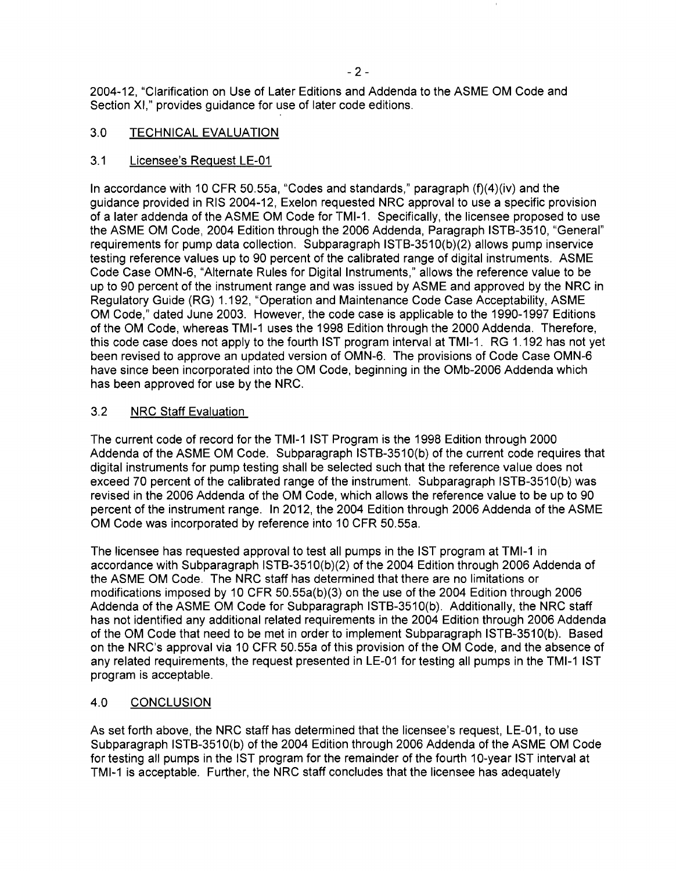2004-12, "Clarification on Use of Later Editions and Addenda to the ASME OM Code and Section XI," provides guidance for use of later code editions.

### 3.0 TECHNICAL EVALUATION

### 3.1 Licensee's Request LE-01

In accordance with 10 CFR 50.55a, "Codes and standards," paragraph (f)(4)(iv) and the guidance provided in RIS 2004-12, Exelon requested NRC approval to use a specific provision of a later addenda of the ASME OM Code for TMI-1. Specifically, the licensee proposed to use the ASME OM Code, 2004 Edition through the 2006 Addenda, Paragraph IST8-3510, "General" requirements for pump data collection. Subparagraph IST8-3510(b)(2) allows pump inservice testing reference values up to 90 percent of the calibrated range of digital instruments. ASME Code Case OMN-6, "Alternate Rules for Digital Instruments," allows the reference value to be up to 90 percent of the instrument range and was issued by ASME and approved by the NRC in Regulatory Guide (RG) 1.192, "Operation and Maintenance Code Case Acceptability, ASME OM Code," dated June 2003. However, the code case is applicable to the 1990-1997 Editions of the OM Code, whereas TMI-1 uses the 1998 Edition through the 2000 Addenda. Therefore, this code case does not apply to the fourth 1ST program interval at TMI-1. RG 1.192 has not yet been revised to approve an updated version of OMN-6. The provisions of Code Case OMN-6 have since been incorporated into the OM Code, beginning in the OMb-2006 Addenda which has been approved for use by the NRC.

### 3.2 NRC Staff Evaluation

The current code of record for the TMI-1 1ST Program is the 1998 Edition through 2000 Addenda of the ASME OM Code. Subparagraph IST8-3510(b) of the current code requires that digital instruments for pump testing shall be selected such that the reference value does not exceed 70 percent of the calibrated range of the instrument. Subparagraph ISTB-3510(b) was revised in the 2006 Addenda of the OM Code, which allows the reference value to be up to 90 percent of the instrument range. In 2012, the 2004 Edition through 2006 Addenda of the ASME OM Code was incorporated by reference into 10 CFR 50.55a.

The licensee has requested approval to test all pumps in the 1ST program at TMI-1 in accordance with Subparagraph IST8-3510(b)(2) of the 2004 Edition through 2006 Addenda of the ASME OM Code. The NRC staff has determined that there are no limitations or modifications imposed by 10 CFR 50.55a(b)(3) on the use of the 2004 Edition through 2006 Addenda of the ASME OM Code for Subparagraph IST8-3510(b). Additionally, the NRC staff has not identified any additional related requirements in the 2004 Edition through 2006 Addenda of the OM Code that need to be met in order to implement Subparagraph IST8-3510(b). 8ased on the NRC's approval via 10 CFR 50.55a of this provision of the OM Code, and the absence of any related requirements, the request presented in LE-01 for testing all pumps in the TMI-1 1ST program is acceptable.

# 4.0 CONCLUSION

As set forth above, the NRC staff has determined that the licensee's request, LE-01, to use Subparagraph IST8-3510(b) of the 2004 Edition through 2006 Addenda of the ASME OM Code for testing all pumps in the 1ST program for the remainder of the fourth 10-year 1ST interval at TMI-1 is acceptable. Further, the NRC staff concludes that the licensee has adequately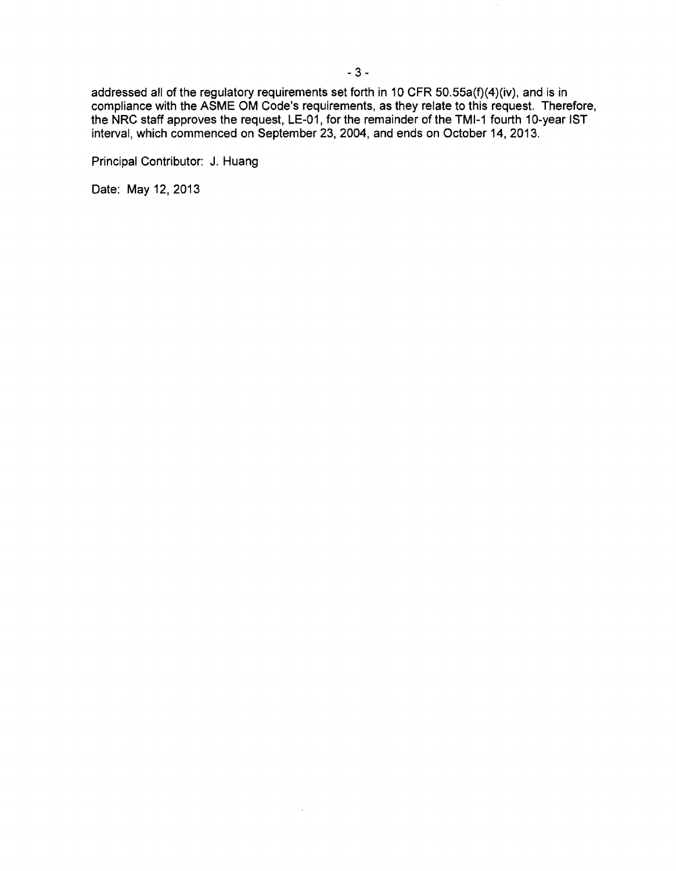addressed all of the regulatory requirements set forth in 10 CFR SO.SSa(f)(4)(iv), and is in compliance with the ASME OM Code's requirements, as they relate to this request. Therefore, the NRC staff approves the request, LE-01, for the remainder of the TMI-1 fourth 10-year IST interval, which commenced on September 23,2004, and ends on October 14, 2013.

 $\lambda$ 

Principal Contributor: J. Huang

Date: May 12. 2013